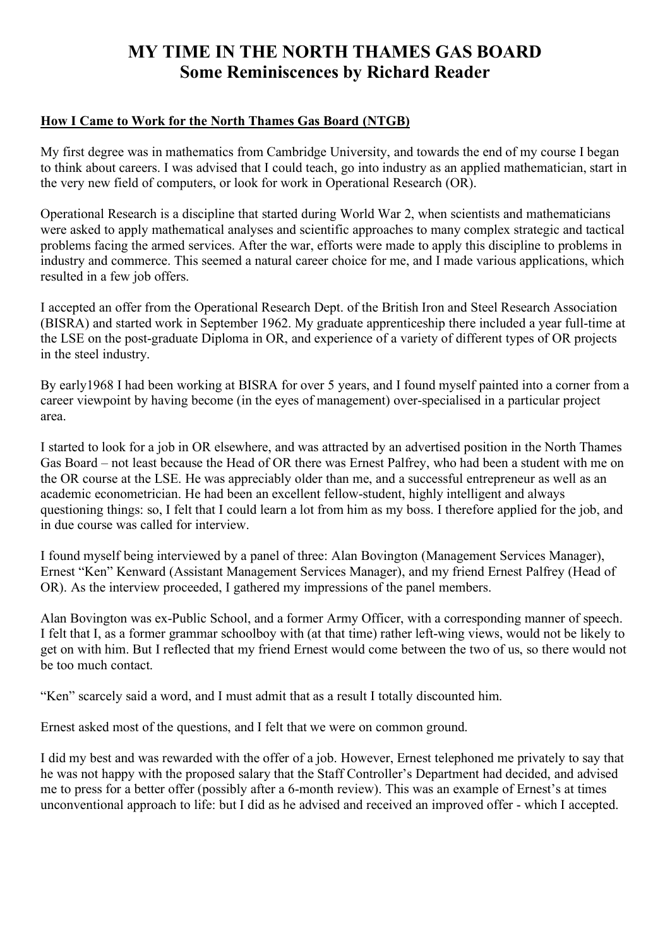# **MY TIME IN THE NORTH THAMES GAS BOARD Some Reminiscences by Richard Reader**

#### **How I Came to Work for the North Thames Gas Board (NTGB)**

My first degree was in mathematics from Cambridge University, and towards the end of my course I began to think about careers. I was advised that I could teach, go into industry as an applied mathematician, start in the very new field of computers, or look for work in Operational Research (OR).

Operational Research is a discipline that started during World War 2, when scientists and mathematicians were asked to apply mathematical analyses and scientific approaches to many complex strategic and tactical problems facing the armed services. After the war, efforts were made to apply this discipline to problems in industry and commerce. This seemed a natural career choice for me, and I made various applications, which resulted in a few job offers.

I accepted an offer from the Operational Research Dept. of the British Iron and Steel Research Association (BISRA) and started work in September 1962. My graduate apprenticeship there included a year full-time at the LSE on the post-graduate Diploma in OR, and experience of a variety of different types of OR projects in the steel industry.

By early1968 I had been working at BISRA for over 5 years, and I found myself painted into a corner from a career viewpoint by having become (in the eyes of management) over-specialised in a particular project area.

I started to look for a job in OR elsewhere, and was attracted by an advertised position in the North Thames Gas Board – not least because the Head of OR there was Ernest Palfrey, who had been a student with me on the OR course at the LSE. He was appreciably older than me, and a successful entrepreneur as well as an academic econometrician. He had been an excellent fellow-student, highly intelligent and always questioning things: so, I felt that I could learn a lot from him as my boss. I therefore applied for the job, and in due course was called for interview.

I found myself being interviewed by a panel of three: Alan Bovington (Management Services Manager), Ernest "Ken" Kenward (Assistant Management Services Manager), and my friend Ernest Palfrey (Head of OR). As the interview proceeded, I gathered my impressions of the panel members.

Alan Bovington was ex-Public School, and a former Army Officer, with a corresponding manner of speech. I felt that I, as a former grammar schoolboy with (at that time) rather left-wing views, would not be likely to get on with him. But I reflected that my friend Ernest would come between the two of us, so there would not be too much contact.

"Ken" scarcely said a word, and I must admit that as a result I totally discounted him.

Ernest asked most of the questions, and I felt that we were on common ground.

I did my best and was rewarded with the offer of a job. However, Ernest telephoned me privately to say that he was not happy with the proposed salary that the Staff Controller's Department had decided, and advised me to press for a better offer (possibly after a 6-month review). This was an example of Ernest's at times unconventional approach to life: but I did as he advised and received an improved offer - which I accepted.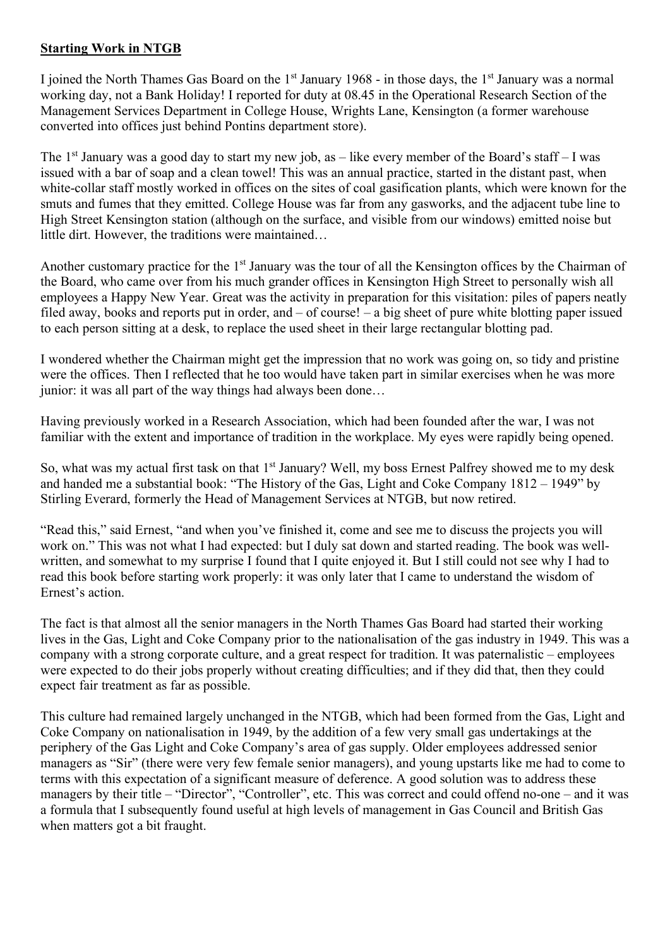#### **Starting Work in NTGB**

I joined the North Thames Gas Board on the  $1<sup>st</sup>$  January 1968 - in those days, the  $1<sup>st</sup>$  January was a normal working day, not a Bank Holiday! I reported for duty at 08.45 in the Operational Research Section of the Management Services Department in College House, Wrights Lane, Kensington (a former warehouse converted into offices just behind Pontins department store).

The  $1<sup>st</sup>$  January was a good day to start my new job, as – like every member of the Board's staff – I was issued with a bar of soap and a clean towel! This was an annual practice, started in the distant past, when white-collar staff mostly worked in offices on the sites of coal gasification plants, which were known for the smuts and fumes that they emitted. College House was far from any gasworks, and the adjacent tube line to High Street Kensington station (although on the surface, and visible from our windows) emitted noise but little dirt. However, the traditions were maintained…

Another customary practice for the 1<sup>st</sup> January was the tour of all the Kensington offices by the Chairman of the Board, who came over from his much grander offices in Kensington High Street to personally wish all employees a Happy New Year. Great was the activity in preparation for this visitation: piles of papers neatly filed away, books and reports put in order, and – of course! – a big sheet of pure white blotting paper issued to each person sitting at a desk, to replace the used sheet in their large rectangular blotting pad.

I wondered whether the Chairman might get the impression that no work was going on, so tidy and pristine were the offices. Then I reflected that he too would have taken part in similar exercises when he was more junior: it was all part of the way things had always been done…

Having previously worked in a Research Association, which had been founded after the war, I was not familiar with the extent and importance of tradition in the workplace. My eyes were rapidly being opened.

So, what was my actual first task on that 1<sup>st</sup> January? Well, my boss Ernest Palfrey showed me to my desk and handed me a substantial book: "The History of the Gas, Light and Coke Company 1812 – 1949" by Stirling Everard, formerly the Head of Management Services at NTGB, but now retired.

"Read this," said Ernest, "and when you've finished it, come and see me to discuss the projects you will work on." This was not what I had expected: but I duly sat down and started reading. The book was wellwritten, and somewhat to my surprise I found that I quite enjoyed it. But I still could not see why I had to read this book before starting work properly: it was only later that I came to understand the wisdom of Ernest's action.

The fact is that almost all the senior managers in the North Thames Gas Board had started their working lives in the Gas, Light and Coke Company prior to the nationalisation of the gas industry in 1949. This was a company with a strong corporate culture, and a great respect for tradition. It was paternalistic – employees were expected to do their jobs properly without creating difficulties; and if they did that, then they could expect fair treatment as far as possible.

This culture had remained largely unchanged in the NTGB, which had been formed from the Gas, Light and Coke Company on nationalisation in 1949, by the addition of a few very small gas undertakings at the periphery of the Gas Light and Coke Company's area of gas supply. Older employees addressed senior managers as "Sir" (there were very few female senior managers), and young upstarts like me had to come to terms with this expectation of a significant measure of deference. A good solution was to address these managers by their title – "Director", "Controller", etc. This was correct and could offend no-one – and it was a formula that I subsequently found useful at high levels of management in Gas Council and British Gas when matters got a bit fraught.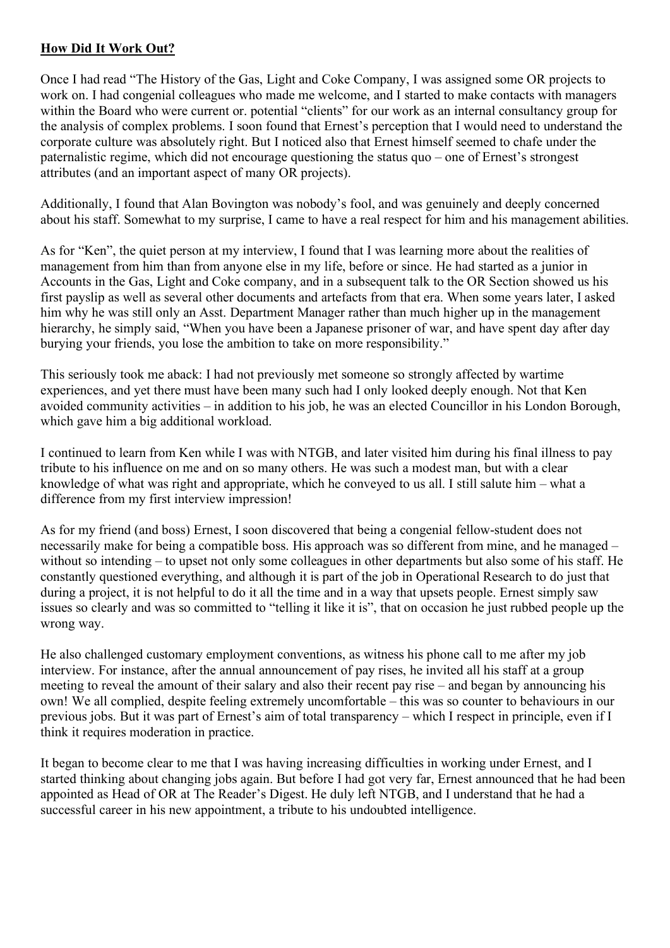### **How Did It Work Out?**

Once I had read "The History of the Gas, Light and Coke Company, I was assigned some OR projects to work on. I had congenial colleagues who made me welcome, and I started to make contacts with managers within the Board who were current or. potential "clients" for our work as an internal consultancy group for the analysis of complex problems. I soon found that Ernest's perception that I would need to understand the corporate culture was absolutely right. But I noticed also that Ernest himself seemed to chafe under the paternalistic regime, which did not encourage questioning the status quo – one of Ernest's strongest attributes (and an important aspect of many OR projects).

Additionally, I found that Alan Bovington was nobody's fool, and was genuinely and deeply concerned about his staff. Somewhat to my surprise, I came to have a real respect for him and his management abilities.

As for "Ken", the quiet person at my interview, I found that I was learning more about the realities of management from him than from anyone else in my life, before or since. He had started as a junior in Accounts in the Gas, Light and Coke company, and in a subsequent talk to the OR Section showed us his first payslip as well as several other documents and artefacts from that era. When some years later, I asked him why he was still only an Asst. Department Manager rather than much higher up in the management hierarchy, he simply said, "When you have been a Japanese prisoner of war, and have spent day after day burying your friends, you lose the ambition to take on more responsibility."

This seriously took me aback: I had not previously met someone so strongly affected by wartime experiences, and yet there must have been many such had I only looked deeply enough. Not that Ken avoided community activities – in addition to his job, he was an elected Councillor in his London Borough, which gave him a big additional workload.

I continued to learn from Ken while I was with NTGB, and later visited him during his final illness to pay tribute to his influence on me and on so many others. He was such a modest man, but with a clear knowledge of what was right and appropriate, which he conveyed to us all. I still salute him – what a difference from my first interview impression!

As for my friend (and boss) Ernest, I soon discovered that being a congenial fellow-student does not necessarily make for being a compatible boss. His approach was so different from mine, and he managed – without so intending – to upset not only some colleagues in other departments but also some of his staff. He constantly questioned everything, and although it is part of the job in Operational Research to do just that during a project, it is not helpful to do it all the time and in a way that upsets people. Ernest simply saw issues so clearly and was so committed to "telling it like it is", that on occasion he just rubbed people up the wrong way.

He also challenged customary employment conventions, as witness his phone call to me after my job interview. For instance, after the annual announcement of pay rises, he invited all his staff at a group meeting to reveal the amount of their salary and also their recent pay rise – and began by announcing his own! We all complied, despite feeling extremely uncomfortable – this was so counter to behaviours in our previous jobs. But it was part of Ernest's aim of total transparency – which I respect in principle, even if I think it requires moderation in practice.

It began to become clear to me that I was having increasing difficulties in working under Ernest, and I started thinking about changing jobs again. But before I had got very far, Ernest announced that he had been appointed as Head of OR at The Reader's Digest. He duly left NTGB, and I understand that he had a successful career in his new appointment, a tribute to his undoubted intelligence.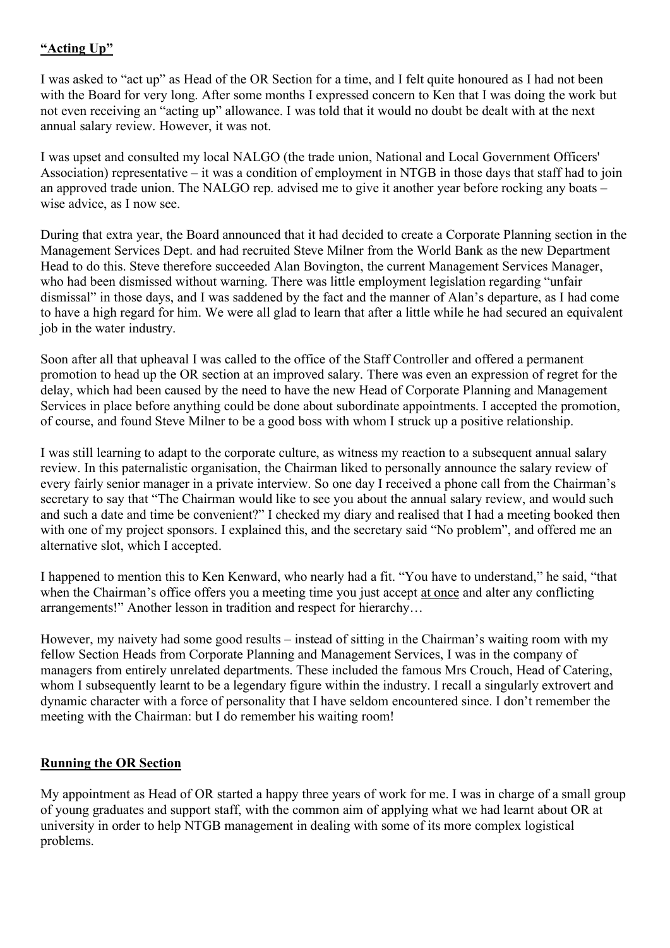# **"Acting Up"**

I was asked to "act up" as Head of the OR Section for a time, and I felt quite honoured as I had not been with the Board for very long. After some months I expressed concern to Ken that I was doing the work but not even receiving an "acting up" allowance. I was told that it would no doubt be dealt with at the next annual salary review. However, it was not.

I was upset and consulted my local NALGO (the trade union, National and Local Government Officers' Association) representative – it was a condition of employment in NTGB in those days that staff had to join an approved trade union. The NALGO rep. advised me to give it another year before rocking any boats – wise advice, as I now see.

During that extra year, the Board announced that it had decided to create a Corporate Planning section in the Management Services Dept. and had recruited Steve Milner from the World Bank as the new Department Head to do this. Steve therefore succeeded Alan Bovington, the current Management Services Manager, who had been dismissed without warning. There was little employment legislation regarding "unfair dismissal" in those days, and I was saddened by the fact and the manner of Alan's departure, as I had come to have a high regard for him. We were all glad to learn that after a little while he had secured an equivalent job in the water industry.

Soon after all that upheaval I was called to the office of the Staff Controller and offered a permanent promotion to head up the OR section at an improved salary. There was even an expression of regret for the delay, which had been caused by the need to have the new Head of Corporate Planning and Management Services in place before anything could be done about subordinate appointments. I accepted the promotion, of course, and found Steve Milner to be a good boss with whom I struck up a positive relationship.

I was still learning to adapt to the corporate culture, as witness my reaction to a subsequent annual salary review. In this paternalistic organisation, the Chairman liked to personally announce the salary review of every fairly senior manager in a private interview. So one day I received a phone call from the Chairman's secretary to say that "The Chairman would like to see you about the annual salary review, and would such and such a date and time be convenient?" I checked my diary and realised that I had a meeting booked then with one of my project sponsors. I explained this, and the secretary said "No problem", and offered me an alternative slot, which I accepted.

I happened to mention this to Ken Kenward, who nearly had a fit. "You have to understand," he said, "that when the Chairman's office offers you a meeting time you just accept at once and alter any conflicting arrangements!" Another lesson in tradition and respect for hierarchy…

However, my naivety had some good results – instead of sitting in the Chairman's waiting room with my fellow Section Heads from Corporate Planning and Management Services, I was in the company of managers from entirely unrelated departments. These included the famous Mrs Crouch, Head of Catering, whom I subsequently learnt to be a legendary figure within the industry. I recall a singularly extrovert and dynamic character with a force of personality that I have seldom encountered since. I don't remember the meeting with the Chairman: but I do remember his waiting room!

## **Running the OR Section**

My appointment as Head of OR started a happy three years of work for me. I was in charge of a small group of young graduates and support staff, with the common aim of applying what we had learnt about OR at university in order to help NTGB management in dealing with some of its more complex logistical problems.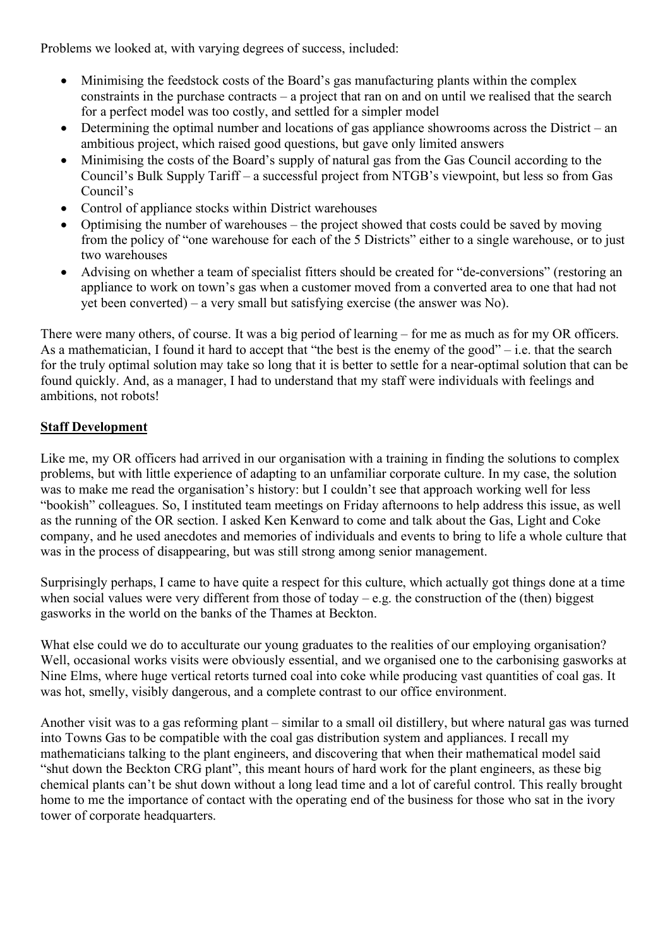Problems we looked at, with varying degrees of success, included:

- Minimising the feedstock costs of the Board's gas manufacturing plants within the complex constraints in the purchase contracts – a project that ran on and on until we realised that the search for a perfect model was too costly, and settled for a simpler model
- Determining the optimal number and locations of gas appliance showrooms across the District an ambitious project, which raised good questions, but gave only limited answers
- Minimising the costs of the Board's supply of natural gas from the Gas Council according to the Council's Bulk Supply Tariff – a successful project from NTGB's viewpoint, but less so from Gas Council's
- Control of appliance stocks within District warehouses
- Optimising the number of warehouses the project showed that costs could be saved by moving from the policy of "one warehouse for each of the 5 Districts" either to a single warehouse, or to just two warehouses
- Advising on whether a team of specialist fitters should be created for "de-conversions" (restoring an appliance to work on town's gas when a customer moved from a converted area to one that had not yet been converted) – a very small but satisfying exercise (the answer was No).

There were many others, of course. It was a big period of learning – for me as much as for my OR officers. As a mathematician, I found it hard to accept that "the best is the enemy of the good" – i.e. that the search for the truly optimal solution may take so long that it is better to settle for a near-optimal solution that can be found quickly. And, as a manager, I had to understand that my staff were individuals with feelings and ambitions, not robots!

### **Staff Development**

Like me, my OR officers had arrived in our organisation with a training in finding the solutions to complex problems, but with little experience of adapting to an unfamiliar corporate culture. In my case, the solution was to make me read the organisation's history: but I couldn't see that approach working well for less "bookish" colleagues. So, I instituted team meetings on Friday afternoons to help address this issue, as well as the running of the OR section. I asked Ken Kenward to come and talk about the Gas, Light and Coke company, and he used anecdotes and memories of individuals and events to bring to life a whole culture that was in the process of disappearing, but was still strong among senior management.

Surprisingly perhaps, I came to have quite a respect for this culture, which actually got things done at a time when social values were very different from those of today – e.g. the construction of the (then) biggest gasworks in the world on the banks of the Thames at Beckton.

What else could we do to acculturate our young graduates to the realities of our employing organisation? Well, occasional works visits were obviously essential, and we organised one to the carbonising gasworks at Nine Elms, where huge vertical retorts turned coal into coke while producing vast quantities of coal gas. It was hot, smelly, visibly dangerous, and a complete contrast to our office environment.

Another visit was to a gas reforming plant – similar to a small oil distillery, but where natural gas was turned into Towns Gas to be compatible with the coal gas distribution system and appliances. I recall my mathematicians talking to the plant engineers, and discovering that when their mathematical model said "shut down the Beckton CRG plant", this meant hours of hard work for the plant engineers, as these big chemical plants can't be shut down without a long lead time and a lot of careful control. This really brought home to me the importance of contact with the operating end of the business for those who sat in the ivory tower of corporate headquarters.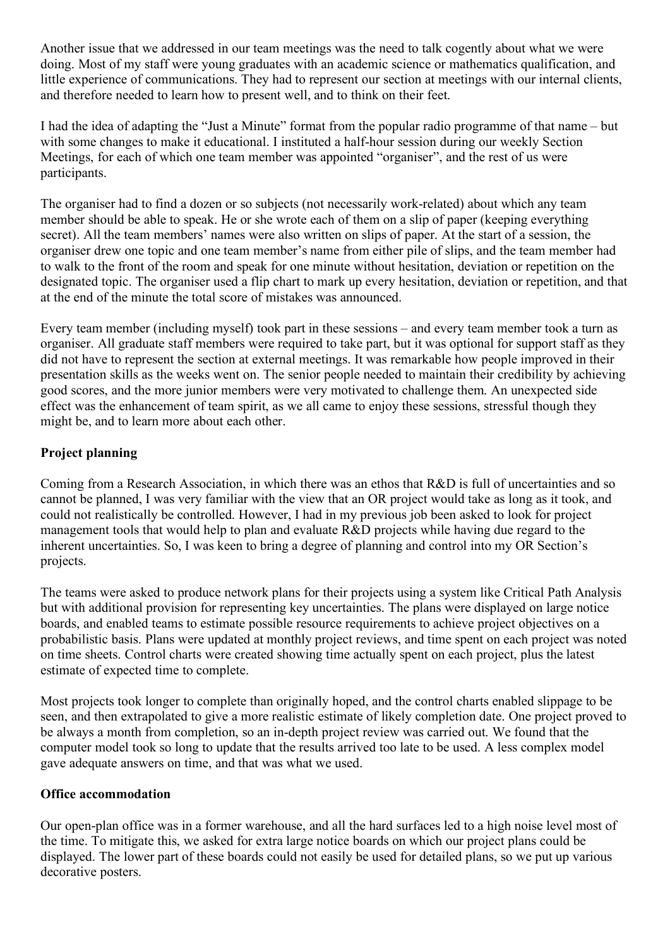Another issue that we addressed in our team meetings was the need to talk cogently about what we were doing. Most of my staff were young graduates with an academic science or mathematics qualification, and little experience of communications. They had to represent our section at meetings with our internal clients, and therefore needed to learn how to present well, and to think on their feet.

I had the idea of adapting the "Just a Minute" format from the popular radio programme of that name – but with some changes to make it educational. I instituted a half-hour session during our weekly Section Meetings, for each of which one team member was appointed "organiser", and the rest of us were participants.

The organiser had to find a dozen or so subjects (not necessarily work-related) about which any team member should be able to speak. He or she wrote each of them on a slip of paper (keeping everything secret). All the team members' names were also written on slips of paper. At the start of a session, the organiser drew one topic and one team member's name from either pile of slips, and the team member had to walk to the front of the room and speak for one minute without hesitation, deviation or repetition on the designated topic. The organiser used a flip chart to mark up every hesitation, deviation or repetition, and that at the end of the minute the total score of mistakes was announced.

Every team member (including myself) took part in these sessions – and every team member took a turn as organiser. All graduate staff members were required to take part, but it was optional for support staff as they did not have to represent the section at external meetings. It was remarkable how people improved in their presentation skills as the weeks went on. The senior people needed to maintain their credibility by achieving good scores, and the more junior members were very motivated to challenge them. An unexpected side effect was the enhancement of team spirit, as we all came to enjoy these sessions, stressful though they might be, and to learn more about each other.

## **Project planning**

Coming from a Research Association, in which there was an ethos that R&D is full of uncertainties and so cannot be planned, I was very familiar with the view that an OR project would take as long as it took, and could not realistically be controlled. However, I had in my previous job been asked to look for project management tools that would help to plan and evaluate R&D projects while having due regard to the inherent uncertainties. So, I was keen to bring a degree of planning and control into my OR Section's projects.

The teams were asked to produce network plans for their projects using a system like Critical Path Analysis but with additional provision for representing key uncertainties. The plans were displayed on large notice boards, and enabled teams to estimate possible resource requirements to achieve project objectives on a probabilistic basis. Plans were updated at monthly project reviews, and time spent on each project was noted on time sheets. Control charts were created showing time actually spent on each project, plus the latest estimate of expected time to complete.

Most projects took longer to complete than originally hoped, and the control charts enabled slippage to be seen, and then extrapolated to give a more realistic estimate of likely completion date. One project proved to be always a month from completion, so an in-depth project review was carried out. We found that the computer model took so long to update that the results arrived too late to be used. A less complex model gave adequate answers on time, and that was what we used.

#### **Office accommodation**

Our open-plan office was in a former warehouse, and all the hard surfaces led to a high noise level most of the time. To mitigate this, we asked for extra large notice boards on which our project plans could be displayed. The lower part of these boards could not easily be used for detailed plans, so we put up various decorative posters.